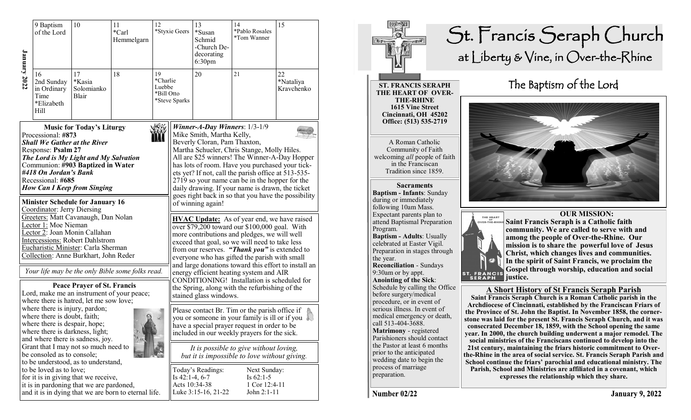| <b>January 2022</b> | 9 Baptism<br>of the Lord                                                                                                                                                                                                                                        | 10                                                                                                                                                        | 11<br>*Carl<br>Hemmelgarn                                                                                                                                              | 12                                     | *Styxie Geers                                                                                                                                                                                                                                                                                                                                                                                                                                                       | 13<br>*Susan<br>Schmid<br>-Church De-<br>decorating<br>6:30 <sub>pm</sub>                                                                                                                                                                                                                                                                                                                                                                                                                                                        | 14<br>*Pablo Rosales<br>*Tom Wanner                         | 15                            |  |
|---------------------|-----------------------------------------------------------------------------------------------------------------------------------------------------------------------------------------------------------------------------------------------------------------|-----------------------------------------------------------------------------------------------------------------------------------------------------------|------------------------------------------------------------------------------------------------------------------------------------------------------------------------|----------------------------------------|---------------------------------------------------------------------------------------------------------------------------------------------------------------------------------------------------------------------------------------------------------------------------------------------------------------------------------------------------------------------------------------------------------------------------------------------------------------------|----------------------------------------------------------------------------------------------------------------------------------------------------------------------------------------------------------------------------------------------------------------------------------------------------------------------------------------------------------------------------------------------------------------------------------------------------------------------------------------------------------------------------------|-------------------------------------------------------------|-------------------------------|--|
|                     | 16<br>2nd Sunday<br>in Ordinary<br>Time<br>*Elizabeth<br>Hill                                                                                                                                                                                                   | 17<br>*Kasia<br>Solomianko<br>Blair                                                                                                                       | 18                                                                                                                                                                     | 19<br>*Charlie<br>Luebbe<br>*Bill Otto | *Steve Sparks                                                                                                                                                                                                                                                                                                                                                                                                                                                       | 20                                                                                                                                                                                                                                                                                                                                                                                                                                                                                                                               | 21                                                          | 22<br>*Nataliya<br>Kravchenko |  |
|                     | Processional: #873<br><b>Shall We Gather at the River</b><br>Response: Psalm 27<br>#418 On Jordan's Bank<br>Recessional: #685                                                                                                                                   | <b>Music for Today's Liturgy</b><br>The Lord is My Light and My Salvation<br>Communion: #903 Baptized in Water<br><b>How Can I Keep from Singing</b>      |                                                                                                                                                                        |                                        | Winner-A-Day Winners: $1/3-1/9$<br>Mike Smith, Martha Kelly,<br>Beverly Cloran, Pam Thaxton,<br>Martha Schueler, Chris Stange, Molly Hiles.<br>All are \$25 winners! The Winner-A-Day Hopper<br>has lots of room. Have you purchased your tick-<br>ets yet? If not, call the parish office at 513-535-<br>2719 so your name can be in the hopper for the<br>daily drawing. If your name is drawn, the ticket<br>goes right back in so that you have the possibility |                                                                                                                                                                                                                                                                                                                                                                                                                                                                                                                                  |                                                             |                               |  |
|                     | Coordinator: Jerry Diersing<br>Lector 1: Moe Nieman                                                                                                                                                                                                             | <b>Minister Schedule for January 16</b><br>Lector 2: Joan Monin Callahan<br><b>Intercessions: Robert Dahlstrom</b><br>Eucharistic Minister: Carla Sherman | Greeters: Matt Cavanaugh, Dan Nolan<br>Collection: Anne Burkhart, John Reder<br>Your life may be the only Bible some folks read.<br><b>Peace Prayer of St. Francis</b> |                                        |                                                                                                                                                                                                                                                                                                                                                                                                                                                                     | of winning again!<br><b>HVAC Update:</b> As of year end, we have raised<br>over \$79,200 toward our \$100,000 goal. With<br>more contributions and pledges, we will well<br>exceed that goal, so we will need to take less<br>from our reserves. "Thank you" is extended to<br>everyone who has gifted the parish with small<br>and large donations toward this effort to install an<br>energy efficient heating system and AIR<br>CONDITIONING! Installation is scheduled for<br>the Spring, along with the refurbishing of the |                                                             |                               |  |
|                     | Lord, make me an instrument of your peace;<br>where there is hatred, let me sow love;<br>where there is injury, pardon;<br>where there is doubt, faith;<br>where there is despair, hope;<br>where there is darkness, light;<br>and where there is sadness, joy. |                                                                                                                                                           |                                                                                                                                                                        |                                        |                                                                                                                                                                                                                                                                                                                                                                                                                                                                     | stained glass windows.<br>Please contact Br. Tim or the parish office if<br>you or someone in your family is ill or if you<br>have a special prayer request in order to be<br>included in our weekly prayers for the sick.                                                                                                                                                                                                                                                                                                       |                                                             |                               |  |
|                     | Grant that I may not so much need to<br>be consoled as to console;<br>to be understood, as to understand,                                                                                                                                                       |                                                                                                                                                           |                                                                                                                                                                        |                                        | It is possible to give without loving,<br>but it is impossible to love without giving.                                                                                                                                                                                                                                                                                                                                                                              |                                                                                                                                                                                                                                                                                                                                                                                                                                                                                                                                  |                                                             |                               |  |
|                     | to be loved as to love;<br>for it is in giving that we receive,<br>it is in pardoning that we are pardoned,<br>and it is in dying that we are born to eternal life.                                                                                             |                                                                                                                                                           |                                                                                                                                                                        |                                        | Is $42:1-4, 6-7$<br>Acts 10:34-38                                                                                                                                                                                                                                                                                                                                                                                                                                   | Today's Readings:<br>Luke 3:15-16, 21-22                                                                                                                                                                                                                                                                                                                                                                                                                                                                                         | Next Sunday:<br>Is $62:1-5$<br>1 Cor 12:4-11<br>John 2:1-11 |                               |  |



St. Francis Seraph Church<br>at Liberty & Vine, in Over-the-Rhine

**Number 02/22**